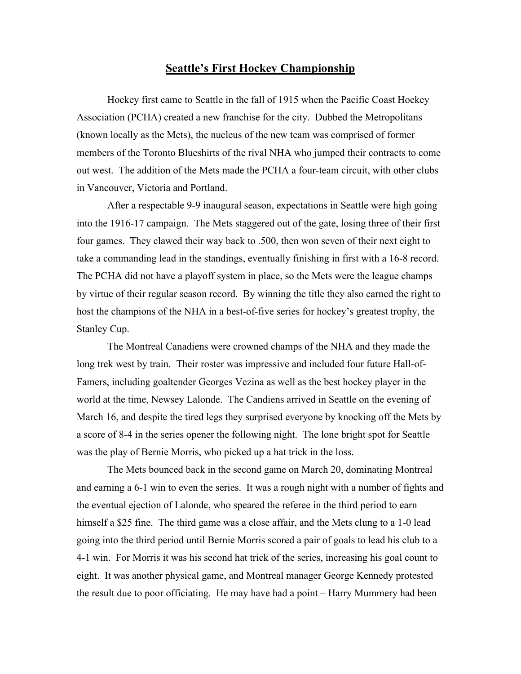## **Seattle's First Hockey Championship**

Hockey first came to Seattle in the fall of 1915 when the Pacific Coast Hockey Association (PCHA) created a new franchise for the city. Dubbed the Metropolitans (known locally as the Mets), the nucleus of the new team was comprised of former members of the Toronto Blueshirts of the rival NHA who jumped their contracts to come out west. The addition of the Mets made the PCHA a four-team circuit, with other clubs in Vancouver, Victoria and Portland.

After a respectable 9-9 inaugural season, expectations in Seattle were high going into the 1916-17 campaign. The Mets staggered out of the gate, losing three of their first four games. They clawed their way back to .500, then won seven of their next eight to take a commanding lead in the standings, eventually finishing in first with a 16-8 record. The PCHA did not have a playoff system in place, so the Mets were the league champs by virtue of their regular season record. By winning the title they also earned the right to host the champions of the NHA in a best-of-five series for hockey's greatest trophy, the Stanley Cup.

The Montreal Canadiens were crowned champs of the NHA and they made the long trek west by train. Their roster was impressive and included four future Hall-of-Famers, including goaltender Georges Vezina as well as the best hockey player in the world at the time, Newsey Lalonde. The Candiens arrived in Seattle on the evening of March 16, and despite the tired legs they surprised everyone by knocking off the Mets by a score of 8-4 in the series opener the following night. The lone bright spot for Seattle was the play of Bernie Morris, who picked up a hat trick in the loss.

The Mets bounced back in the second game on March 20, dominating Montreal and earning a 6-1 win to even the series. It was a rough night with a number of fights and the eventual ejection of Lalonde, who speared the referee in the third period to earn himself a \$25 fine. The third game was a close affair, and the Mets clung to a 1-0 lead going into the third period until Bernie Morris scored a pair of goals to lead his club to a 4-1 win. For Morris it was his second hat trick of the series, increasing his goal count to eight. It was another physical game, and Montreal manager George Kennedy protested the result due to poor officiating. He may have had a point – Harry Mummery had been